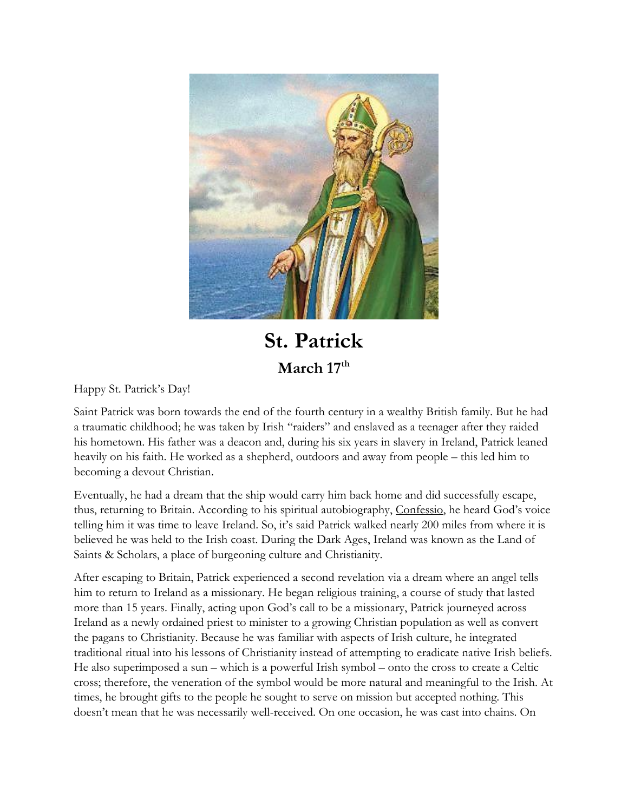

## **St. Patrick March 17th**

Happy St. Patrick's Day!

Saint Patrick was born towards the end of the fourth century in a wealthy British family. But he had a traumatic childhood; he was taken by Irish "raiders" and enslaved as a teenager after they raided his hometown. His father was a deacon and, during his six years in slavery in Ireland, Patrick leaned heavily on his faith. He worked as a shepherd, outdoors and away from people – this led him to becoming a devout Christian.

Eventually, he had a dream that the ship would carry him back home and did successfully escape, thus, returning to Britain. According to his spiritual autobiography, Confessio, he heard God's voice telling him it was time to leave Ireland. So, it's said Patrick walked nearly 200 miles from where it is believed he was held to the Irish coast. During the Dark Ages, Ireland was known as the Land of Saints & Scholars, a place of burgeoning culture and Christianity.

After escaping to Britain, Patrick experienced a second revelation via a dream where an angel tells him to return to Ireland as a missionary. He began religious training, a course of study that lasted more than 15 years. Finally, acting upon God's call to be a missionary, Patrick journeyed across Ireland as a newly ordained priest to minister to a growing Christian population as well as convert the pagans to Christianity. Because he was familiar with aspects of Irish culture, he integrated traditional ritual into his lessons of Christianity instead of attempting to eradicate native Irish beliefs. He also superimposed a sun – which is a powerful Irish symbol – onto the cross to create a Celtic cross; therefore, the veneration of the symbol would be more natural and meaningful to the Irish. At times, he brought gifts to the people he sought to serve on mission but accepted nothing. This doesn't mean that he was necessarily well-received. On one occasion, he was cast into chains. On